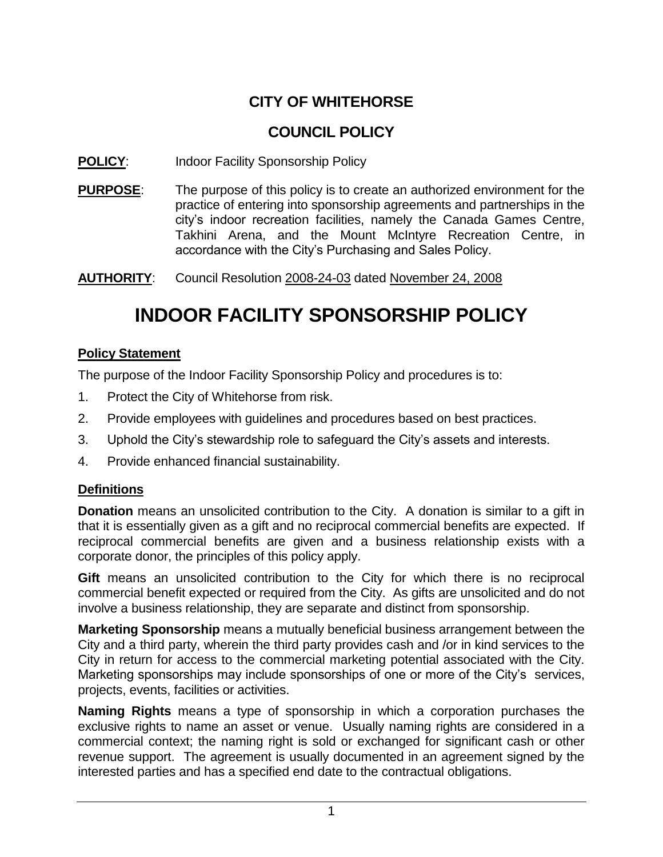## **CITY OF WHITEHORSE**

### **COUNCIL POLICY**

#### **POLICY:** Indoor Facility Sponsorship Policy

**PURPOSE**: The purpose of this policy is to create an authorized environment for the practice of entering into sponsorship agreements and partnerships in the city's indoor recreation facilities, namely the Canada Games Centre, Takhini Arena, and the Mount McIntyre Recreation Centre, in accordance with the City's Purchasing and Sales Policy.

**AUTHORITY**: Council Resolution 2008-24-03 dated November 24, 2008

# **INDOOR FACILITY SPONSORSHIP POLICY**

#### **Policy Statement**

The purpose of the Indoor Facility Sponsorship Policy and procedures is to:

- 1. Protect the City of Whitehorse from risk.
- 2. Provide employees with guidelines and procedures based on best practices.
- 3. Uphold the City's stewardship role to safeguard the City's assets and interests.
- 4. Provide enhanced financial sustainability.

#### **Definitions**

**Donation** means an unsolicited contribution to the City. A donation is similar to a gift in that it is essentially given as a gift and no reciprocal commercial benefits are expected. If reciprocal commercial benefits are given and a business relationship exists with a corporate donor, the principles of this policy apply.

**Gift** means an unsolicited contribution to the City for which there is no reciprocal commercial benefit expected or required from the City. As gifts are unsolicited and do not involve a business relationship, they are separate and distinct from sponsorship.

**Marketing Sponsorship** means a mutually beneficial business arrangement between the City and a third party, wherein the third party provides cash and /or in kind services to the City in return for access to the commercial marketing potential associated with the City. Marketing sponsorships may include sponsorships of one or more of the City's services, projects, events, facilities or activities.

**Naming Rights** means a type of sponsorship in which a corporation purchases the exclusive rights to name an asset or venue. Usually naming rights are considered in a commercial context; the naming right is sold or exchanged for significant cash or other revenue support. The agreement is usually documented in an agreement signed by the interested parties and has a specified end date to the contractual obligations.

<sup>1</sup>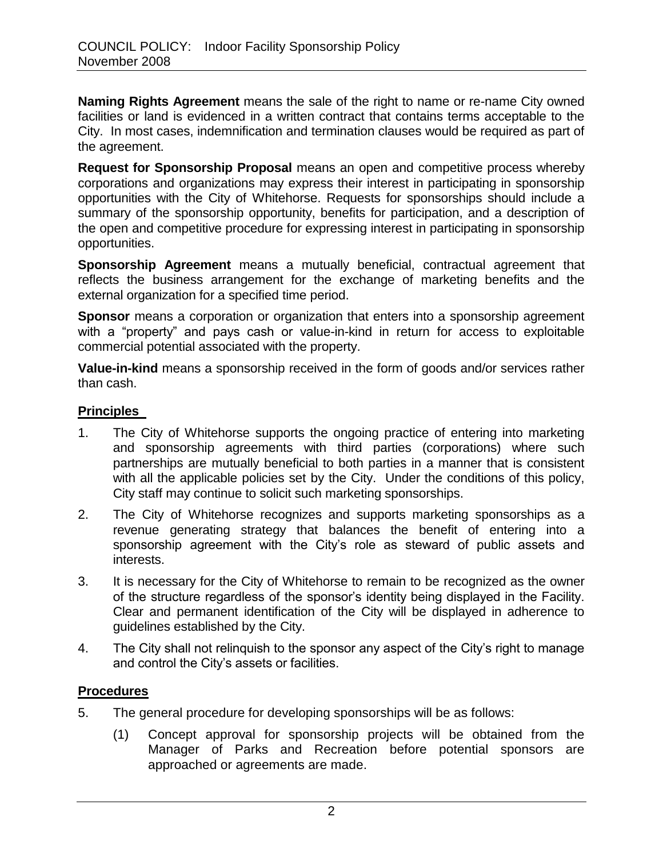**Naming Rights Agreement** means the sale of the right to name or re-name City owned facilities or land is evidenced in a written contract that contains terms acceptable to the City. In most cases, indemnification and termination clauses would be required as part of the agreement.

**Request for Sponsorship Proposal** means an open and competitive process whereby corporations and organizations may express their interest in participating in sponsorship opportunities with the City of Whitehorse. Requests for sponsorships should include a summary of the sponsorship opportunity, benefits for participation, and a description of the open and competitive procedure for expressing interest in participating in sponsorship opportunities.

**Sponsorship Agreement** means a mutually beneficial, contractual agreement that reflects the business arrangement for the exchange of marketing benefits and the external organization for a specified time period.

**Sponsor** means a corporation or organization that enters into a sponsorship agreement with a "property" and pays cash or value-in-kind in return for access to exploitable commercial potential associated with the property.

**Value-in-kind** means a sponsorship received in the form of goods and/or services rather than cash.

#### **Principles**

- 1. The City of Whitehorse supports the ongoing practice of entering into marketing and sponsorship agreements with third parties (corporations) where such partnerships are mutually beneficial to both parties in a manner that is consistent with all the applicable policies set by the City. Under the conditions of this policy, City staff may continue to solicit such marketing sponsorships.
- 2. The City of Whitehorse recognizes and supports marketing sponsorships as a revenue generating strategy that balances the benefit of entering into a sponsorship agreement with the City's role as steward of public assets and interests.
- 3. It is necessary for the City of Whitehorse to remain to be recognized as the owner of the structure regardless of the sponsor's identity being displayed in the Facility. Clear and permanent identification of the City will be displayed in adherence to guidelines established by the City.
- 4. The City shall not relinquish to the sponsor any aspect of the City's right to manage and control the City's assets or facilities.

#### **Procedures**

- 5. The general procedure for developing sponsorships will be as follows:
	- (1) Concept approval for sponsorship projects will be obtained from the Manager of Parks and Recreation before potential sponsors are approached or agreements are made.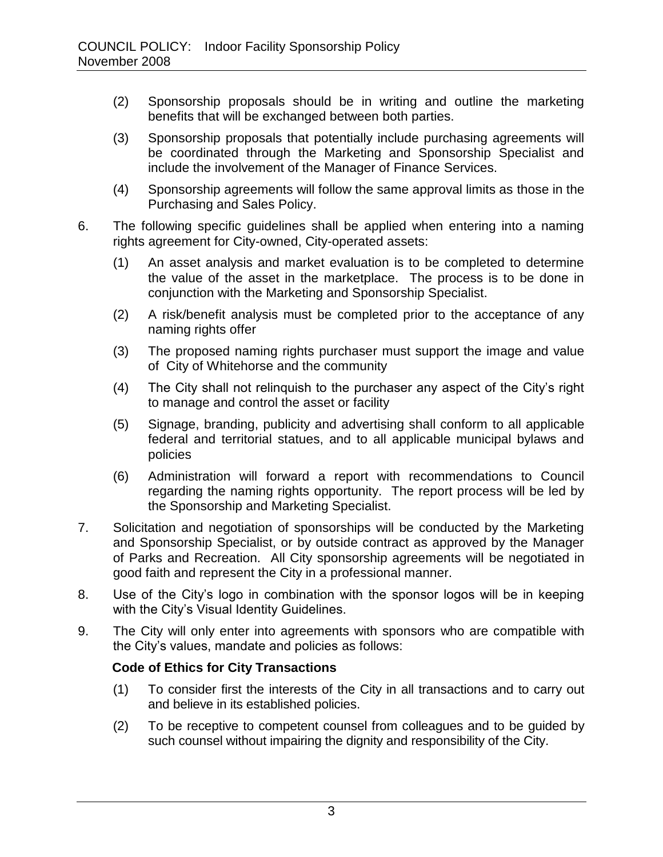- (2) Sponsorship proposals should be in writing and outline the marketing benefits that will be exchanged between both parties.
- (3) Sponsorship proposals that potentially include purchasing agreements will be coordinated through the Marketing and Sponsorship Specialist and include the involvement of the Manager of Finance Services.
- (4) Sponsorship agreements will follow the same approval limits as those in the Purchasing and Sales Policy.
- 6. The following specific guidelines shall be applied when entering into a naming rights agreement for City-owned, City-operated assets:
	- (1) An asset analysis and market evaluation is to be completed to determine the value of the asset in the marketplace. The process is to be done in conjunction with the Marketing and Sponsorship Specialist.
	- (2) A risk/benefit analysis must be completed prior to the acceptance of any naming rights offer
	- (3) The proposed naming rights purchaser must support the image and value of City of Whitehorse and the community
	- (4) The City shall not relinquish to the purchaser any aspect of the City's right to manage and control the asset or facility
	- (5) Signage, branding, publicity and advertising shall conform to all applicable federal and territorial statues, and to all applicable municipal bylaws and policies
	- (6) Administration will forward a report with recommendations to Council regarding the naming rights opportunity. The report process will be led by the Sponsorship and Marketing Specialist.
- 7. Solicitation and negotiation of sponsorships will be conducted by the Marketing and Sponsorship Specialist, or by outside contract as approved by the Manager of Parks and Recreation. All City sponsorship agreements will be negotiated in good faith and represent the City in a professional manner.
- 8. Use of the City's logo in combination with the sponsor logos will be in keeping with the City's Visual Identity Guidelines.
- 9. The City will only enter into agreements with sponsors who are compatible with the City's values, mandate and policies as follows:

#### **Code of Ethics for City Transactions**

- (1) To consider first the interests of the City in all transactions and to carry out and believe in its established policies.
- (2) To be receptive to competent counsel from colleagues and to be guided by such counsel without impairing the dignity and responsibility of the City.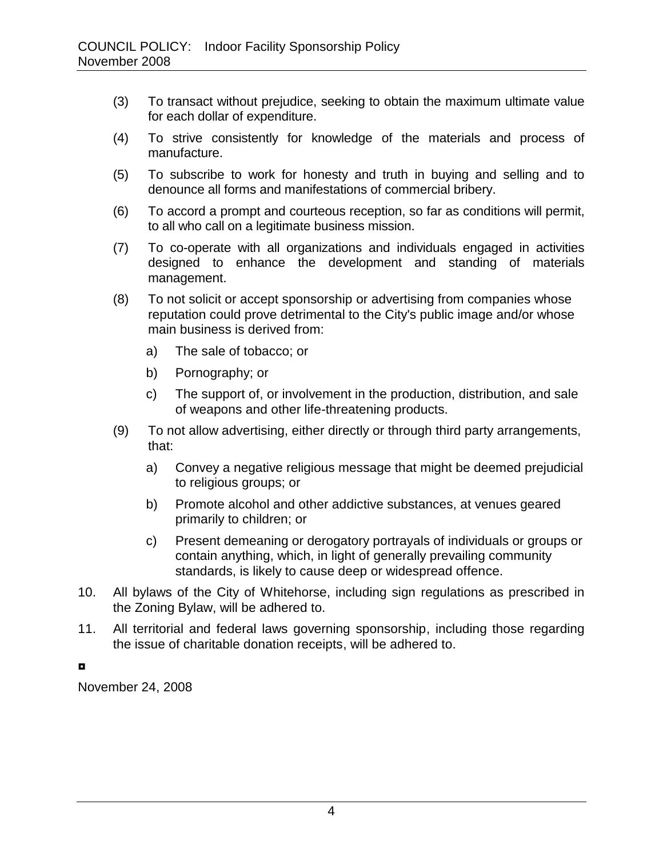- (3) To transact without prejudice, seeking to obtain the maximum ultimate value for each dollar of expenditure.
- (4) To strive consistently for knowledge of the materials and process of manufacture.
- (5) To subscribe to work for honesty and truth in buying and selling and to denounce all forms and manifestations of commercial bribery.
- (6) To accord a prompt and courteous reception, so far as conditions will permit, to all who call on a legitimate business mission.
- (7) To co-operate with all organizations and individuals engaged in activities designed to enhance the development and standing of materials management.
- (8) To not solicit or accept sponsorship or advertising from companies whose reputation could prove detrimental to the City's public image and/or whose main business is derived from:
	- a) The sale of tobacco; or
	- b) Pornography; or
	- c) The support of, or involvement in the production, distribution, and sale of weapons and other life-threatening products.
- (9) To not allow advertising, either directly or through third party arrangements, that:
	- a) Convey a negative religious message that might be deemed prejudicial to religious groups; or
	- b) Promote alcohol and other addictive substances, at venues geared primarily to children; or
	- c) Present demeaning or derogatory portrayals of individuals or groups or contain anything, which, in light of generally prevailing community standards, is likely to cause deep or widespread offence.
- 10. All bylaws of the City of Whitehorse, including sign regulations as prescribed in the Zoning Bylaw, will be adhered to.
- 11. All territorial and federal laws governing sponsorship, including those regarding the issue of charitable donation receipts, will be adhered to.

◘

November 24, 2008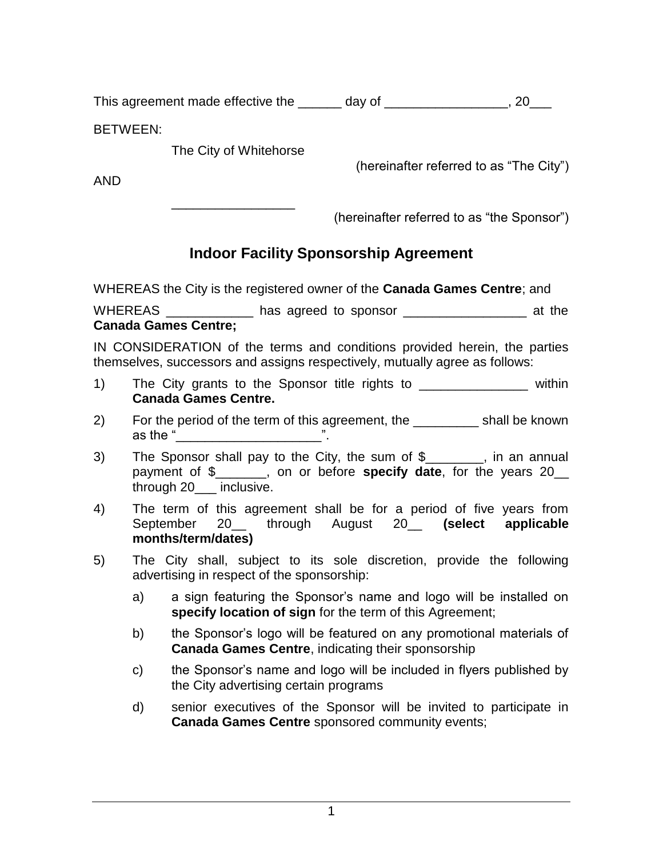This agreement made effective the \_\_\_\_\_\_\_ day of \_\_\_\_\_\_\_\_\_\_\_\_\_\_\_\_\_\_\_\_, 20

BETWEEN:

The City of Whitehorse

\_\_\_\_\_\_\_\_\_\_\_\_\_\_\_\_\_

(hereinafter referred to as "The City")

AND

(hereinafter referred to as "the Sponsor")

## **Indoor Facility Sponsorship Agreement**

WHEREAS the City is the registered owner of the **Canada Games Centre**; and

WHEREAS \_\_\_\_\_\_\_\_\_\_\_\_ has agreed to sponsor \_\_\_\_\_\_\_\_\_\_\_\_\_\_\_\_\_ at the **Canada Games Centre;**

IN CONSIDERATION of the terms and conditions provided herein, the parties themselves, successors and assigns respectively, mutually agree as follows:

- 1) The City grants to the Sponsor title rights to \_\_\_\_\_\_\_\_\_\_\_\_\_\_\_ within **Canada Games Centre.**
- 2) For the period of the term of this agreement, the \_\_\_\_\_\_\_\_\_ shall be known as the "  $\blacksquare$
- 3) The Sponsor shall pay to the City, the sum of \$\_\_\_\_\_\_\_\_, in an annual payment of \$\_\_\_\_\_\_\_, on or before **specify date**, for the years 20\_\_ through 20\_\_\_ inclusive.
- 4) The term of this agreement shall be for a period of five years from September 20 through August 20 (select applicable **months/term/dates)**
- 5) The City shall, subject to its sole discretion, provide the following advertising in respect of the sponsorship:
	- a) a sign featuring the Sponsor's name and logo will be installed on **specify location of sign** for the term of this Agreement;
	- b) the Sponsor's logo will be featured on any promotional materials of **Canada Games Centre**, indicating their sponsorship
	- c) the Sponsor's name and logo will be included in flyers published by the City advertising certain programs
	- d) senior executives of the Sponsor will be invited to participate in **Canada Games Centre** sponsored community events;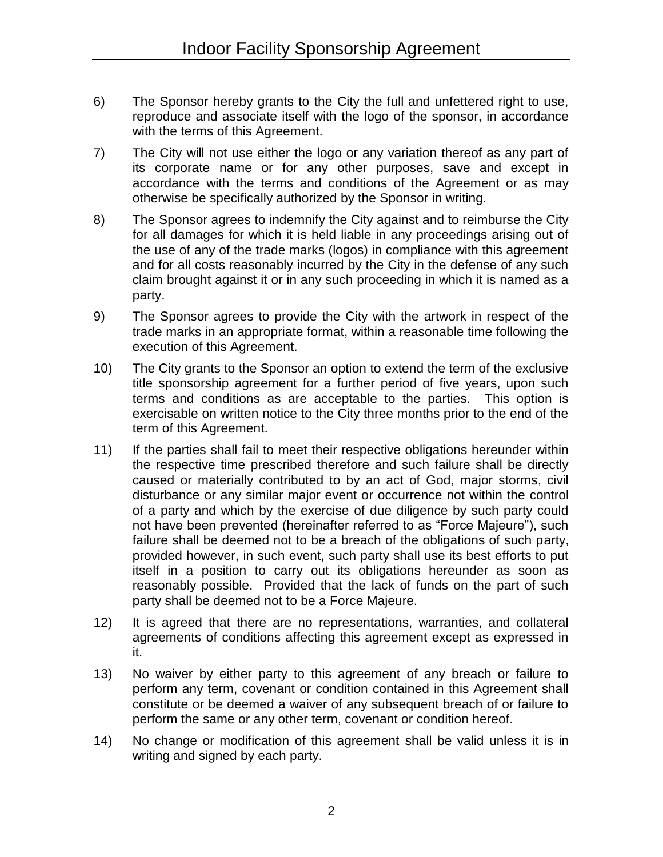- 6) The Sponsor hereby grants to the City the full and unfettered right to use, reproduce and associate itself with the logo of the sponsor, in accordance with the terms of this Agreement.
- 7) The City will not use either the logo or any variation thereof as any part of its corporate name or for any other purposes, save and except in accordance with the terms and conditions of the Agreement or as may otherwise be specifically authorized by the Sponsor in writing.
- 8) The Sponsor agrees to indemnify the City against and to reimburse the City for all damages for which it is held liable in any proceedings arising out of the use of any of the trade marks (logos) in compliance with this agreement and for all costs reasonably incurred by the City in the defense of any such claim brought against it or in any such proceeding in which it is named as a party.
- 9) The Sponsor agrees to provide the City with the artwork in respect of the trade marks in an appropriate format, within a reasonable time following the execution of this Agreement.
- 10) The City grants to the Sponsor an option to extend the term of the exclusive title sponsorship agreement for a further period of five years, upon such terms and conditions as are acceptable to the parties. This option is exercisable on written notice to the City three months prior to the end of the term of this Agreement.
- 11) If the parties shall fail to meet their respective obligations hereunder within the respective time prescribed therefore and such failure shall be directly caused or materially contributed to by an act of God, major storms, civil disturbance or any similar major event or occurrence not within the control of a party and which by the exercise of due diligence by such party could not have been prevented (hereinafter referred to as "Force Majeure"), such failure shall be deemed not to be a breach of the obligations of such party, provided however, in such event, such party shall use its best efforts to put itself in a position to carry out its obligations hereunder as soon as reasonably possible. Provided that the lack of funds on the part of such party shall be deemed not to be a Force Majeure.
- 12) It is agreed that there are no representations, warranties, and collateral agreements of conditions affecting this agreement except as expressed in it.
- 13) No waiver by either party to this agreement of any breach or failure to perform any term, covenant or condition contained in this Agreement shall constitute or be deemed a waiver of any subsequent breach of or failure to perform the same or any other term, covenant or condition hereof.
- 14) No change or modification of this agreement shall be valid unless it is in writing and signed by each party.